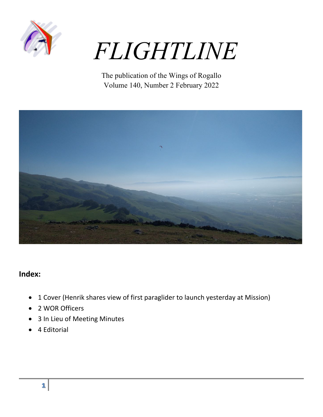

# *FLIGHTLINE*

The publication of the Wings of Rogallo Volume 140, Number 2 February 2022



## **Index:**

- 1 Cover (Henrik shares view of first paraglider to launch yesterday at Mission)
- 2 WOR Officers
- 3 In Lieu of Meeting Minutes
- 4 Editorial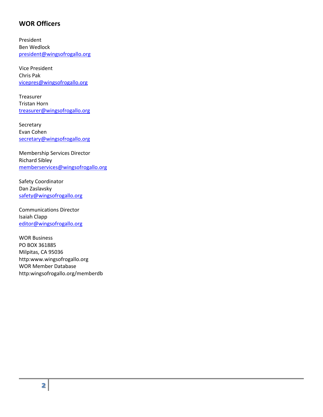### **WOR Officers**

President Ben Wedlock president@wingsofrogallo.org

Vice President Chris Pak vicepres@wingsofrogallo.org

Treasurer Tristan Horn treasurer@wingsofrogallo.org

Secretary Evan Cohen secretary@wingsofrogallo.org

Membership Services Director Richard Sibley memberservices@wingsofrogallo.org

Safety Coordinator Dan Zaslavsky safety@wingsofrogallo.org

Communications Director Isaiah Clapp editor@wingsofrogallo.org

WOR Business PO BOX 361885 Milpitas, CA 95036 http:www.wingsofrogallo.org WOR Member Database http:wingsofrogallo.org/memberdb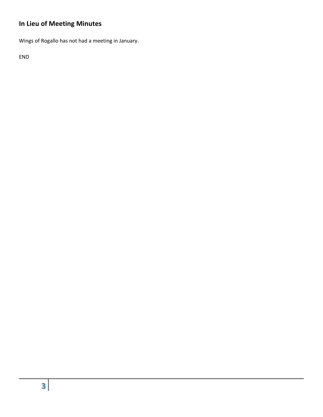## **In Lieu of Meeting Minutes**

Wings of Rogallo has not had a meeting in January.

END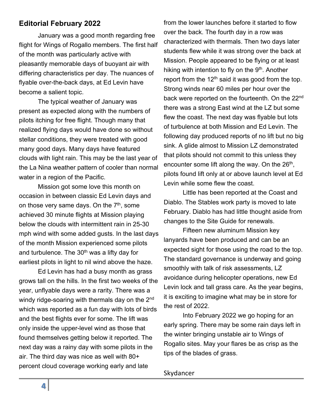## **Editorial February 2022**

January was a good month regarding free flight for Wings of Rogallo members. The first half of the month was particularly active with pleasantly memorable days of buoyant air with differing characteristics per day. The nuances of flyable over-the-back days, at Ed Levin have become a salient topic.

The typical weather of January was present as expected along with the numbers of pilots itching for free flight. Though many that realized flying days would have done so without stellar conditions, they were treated with good many good days. Many days have featured clouds with light rain. This may be the last year of the La Nina weather pattern of cooler than normal water in a region of the Pacific.

Mission got some love this month on occasion in between classic Ed Levin days and on those very same days. On the  $7<sup>th</sup>$ , some achieved 30 minute flights at Mission playing below the clouds with intermittent rain in 25-30 mph wind with some added gusts. In the last days of the month Mission experienced some pilots and turbulence. The  $30<sup>th</sup>$  was a lifty day for earliest pilots in light to nil wind above the haze.

Ed Levin has had a busy month as grass grows tall on the hills. In the first two weeks of the year, unflyable days were a rarity. There was a windy ridge-soaring with thermals day on the 2<sup>nd</sup> which was reported as a fun day with lots of birds and the best flights ever for some. The lift was only inside the upper-level wind as those that found themselves getting below it reported. The next day was a rainy day with some pilots in the air. The third day was nice as well with 80+ percent cloud coverage working early and late

from the lower launches before it started to flow over the back. The fourth day in a row was characterized with thermals. Then two days later students flew while it was strong over the back at Mission. People appeared to be flying or at least hiking with intention to fly on the 9<sup>th</sup>. Another report from the  $12<sup>th</sup>$  said it was good from the top. Strong winds near 60 miles per hour over the back were reported on the fourteenth. On the 22<sup>nd</sup> there was a strong East wind at the LZ but some flew the coast. The next day was flyable but lots of turbulence at both Mission and Ed Levin. The following day produced reports of no lift but no big sink. A glide almost to Mission LZ demonstrated that pilots should not commit to this unless they encounter some lift along the way. On the  $26<sup>th</sup>$ , pilots found lift only at or above launch level at Ed Levin while some flew the coast.

Little has been reported at the Coast and Diablo. The Stables work party is moved to late February. Diablo has had little thought aside from changes to the Site Guide for renewals.

Fifteen new aluminum Mission key lanyards have been produced and can be an expected sight for those using the road to the top. The standard governance is underway and going smoothly with talk of risk assessments, LZ avoidance during helicopter operations, new Ed Levin lock and tall grass care. As the year begins, it is exciting to imagine what may be in store for the rest of 2022.

Into February 2022 we go hoping for an early spring. There may be some rain days left in the winter bringing unstable air to Wings of Rogallo sites. May your flares be as crisp as the tips of the blades of grass.

#### Skydancer